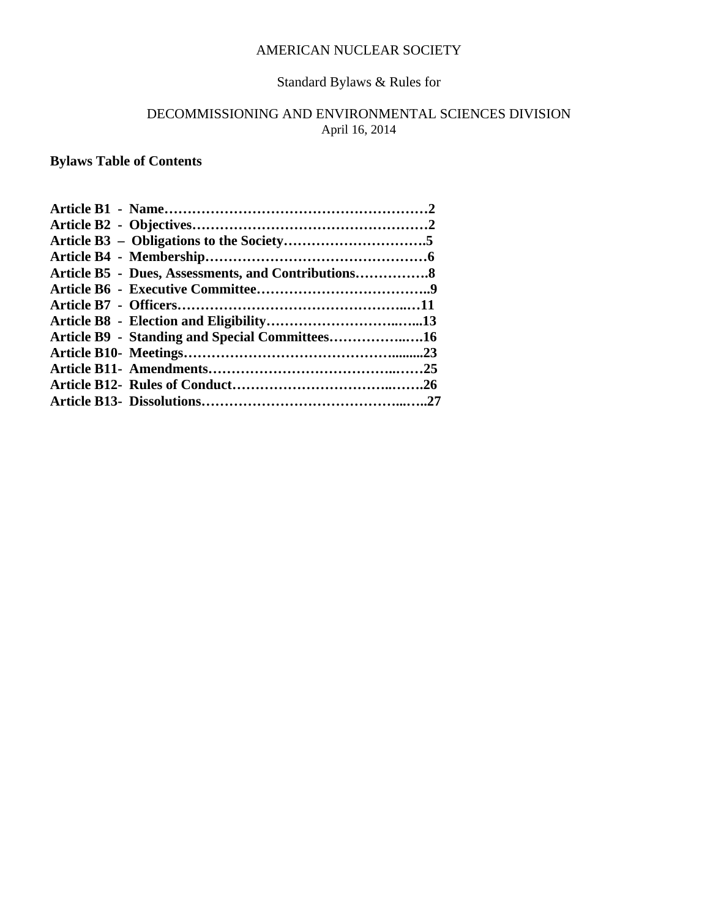#### AMERICAN NUCLEAR SOCIETY

# Standard Bylaws & Rules for

## DECOMMISSIONING AND ENVIRONMENTAL SCIENCES DIVISION April 16, 2014

**Bylaws Table of Contents**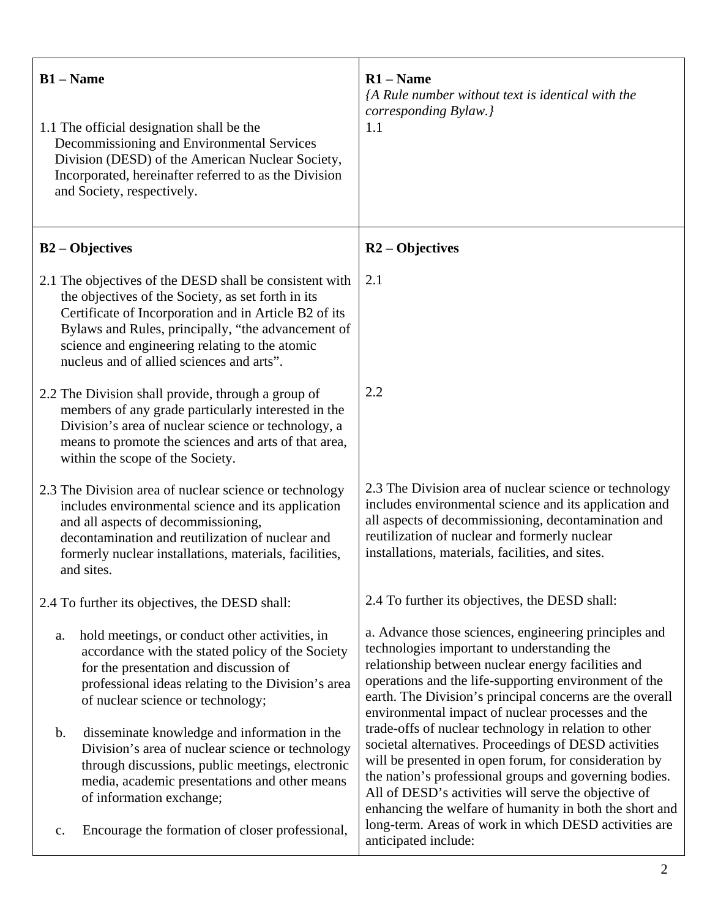| $B1 - Name$<br>1.1 The official designation shall be the<br>Decommissioning and Environmental Services<br>Division (DESD) of the American Nuclear Society,<br>Incorporated, hereinafter referred to as the Division<br>and Society, respectively.                                                                           | $R1 - Name$<br>{A Rule number without text is identical with the<br>corresponding Bylaw.}<br>1.1                                                                                                                                                                                                                                                                                              |
|-----------------------------------------------------------------------------------------------------------------------------------------------------------------------------------------------------------------------------------------------------------------------------------------------------------------------------|-----------------------------------------------------------------------------------------------------------------------------------------------------------------------------------------------------------------------------------------------------------------------------------------------------------------------------------------------------------------------------------------------|
| <b>B2</b> – Objectives                                                                                                                                                                                                                                                                                                      | $R2 - Objectives$                                                                                                                                                                                                                                                                                                                                                                             |
| 2.1 The objectives of the DESD shall be consistent with<br>the objectives of the Society, as set forth in its<br>Certificate of Incorporation and in Article B2 of its<br>Bylaws and Rules, principally, "the advancement of<br>science and engineering relating to the atomic<br>nucleus and of allied sciences and arts". | 2.1                                                                                                                                                                                                                                                                                                                                                                                           |
| 2.2 The Division shall provide, through a group of<br>members of any grade particularly interested in the<br>Division's area of nuclear science or technology, a<br>means to promote the sciences and arts of that area,<br>within the scope of the Society.                                                                | 2.2                                                                                                                                                                                                                                                                                                                                                                                           |
| 2.3 The Division area of nuclear science or technology<br>includes environmental science and its application<br>and all aspects of decommissioning,<br>decontamination and reutilization of nuclear and<br>formerly nuclear installations, materials, facilities,<br>and sites.                                             | 2.3 The Division area of nuclear science or technology<br>includes environmental science and its application and<br>all aspects of decommissioning, decontamination and<br>reutilization of nuclear and formerly nuclear<br>installations, materials, facilities, and sites.                                                                                                                  |
| 2.4 To further its objectives, the DESD shall:                                                                                                                                                                                                                                                                              | 2.4 To further its objectives, the DESD shall:                                                                                                                                                                                                                                                                                                                                                |
| hold meetings, or conduct other activities, in<br>a.<br>accordance with the stated policy of the Society<br>for the presentation and discussion of<br>professional ideas relating to the Division's area<br>of nuclear science or technology;<br>disseminate knowledge and information in the<br>$\mathbf b$ .              | a. Advance those sciences, engineering principles and<br>technologies important to understanding the<br>relationship between nuclear energy facilities and<br>operations and the life-supporting environment of the<br>earth. The Division's principal concerns are the overall<br>environmental impact of nuclear processes and the<br>trade-offs of nuclear technology in relation to other |
| Division's area of nuclear science or technology<br>through discussions, public meetings, electronic<br>media, academic presentations and other means<br>of information exchange;<br>Encourage the formation of closer professional,<br>$\mathbf{c}$ .                                                                      | societal alternatives. Proceedings of DESD activities<br>will be presented in open forum, for consideration by<br>the nation's professional groups and governing bodies.<br>All of DESD's activities will serve the objective of<br>enhancing the welfare of humanity in both the short and<br>long-term. Areas of work in which DESD activities are                                          |
|                                                                                                                                                                                                                                                                                                                             | anticipated include:                                                                                                                                                                                                                                                                                                                                                                          |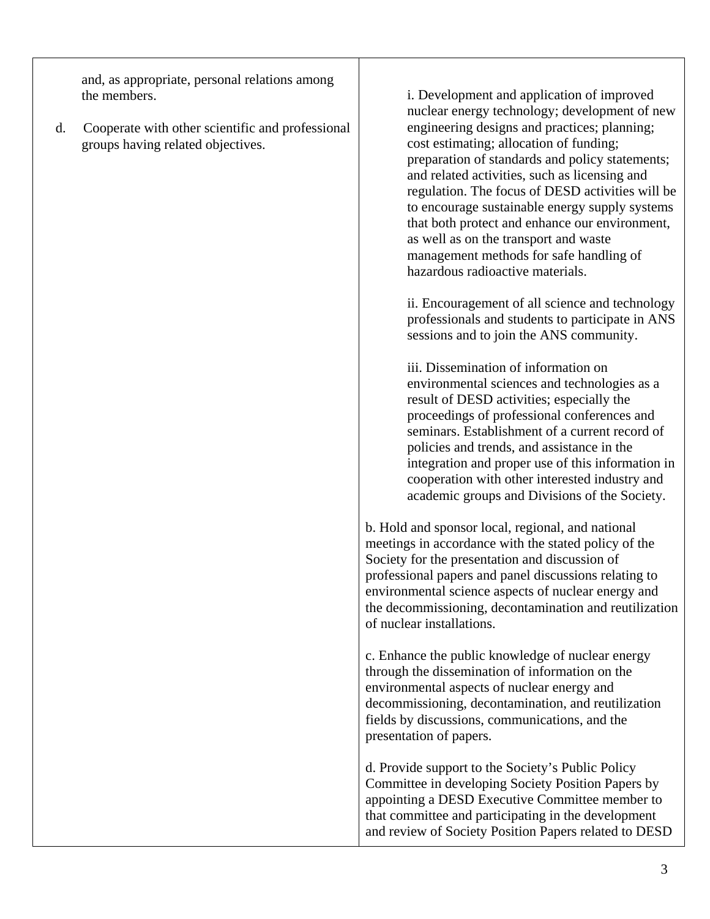and, as appropriate, personal relations among the members.

d. Cooperate with other scientific and professional groups having related objectives.

i. Development and application of improved nuclear energy technology; development of new engineering designs and practices; planning; cost estimating; allocation of funding; preparation of standards and policy statements; and related activities, such as licensing and regulation. The focus of DESD activities will be to encourage sustainable energy supply systems that both protect and enhance our environment, as well as on the transport and waste management methods for safe handling of hazardous radioactive materials.

ii. Encouragement of all science and technology professionals and students to participate in ANS sessions and to join the ANS community.

iii. Dissemination of information on environmental sciences and technologies as a result of DESD activities; especially the proceedings of professional conferences and seminars. Establishment of a current record of policies and trends, and assistance in the integration and proper use of this information in cooperation with other interested industry and academic groups and Divisions of the Society.

b. Hold and sponsor local, regional, and national meetings in accordance with the stated policy of the Society for the presentation and discussion of professional papers and panel discussions relating to environmental science aspects of nuclear energy and the decommissioning, decontamination and reutilization of nuclear installations.

c. Enhance the public knowledge of nuclear energy through the dissemination of information on the environmental aspects of nuclear energy and decommissioning, decontamination, and reutilization fields by discussions, communications, and the presentation of papers.

d. Provide support to the Society's Public Policy Committee in developing Society Position Papers by appointing a DESD Executive Committee member to that committee and participating in the development and review of Society Position Papers related to DESD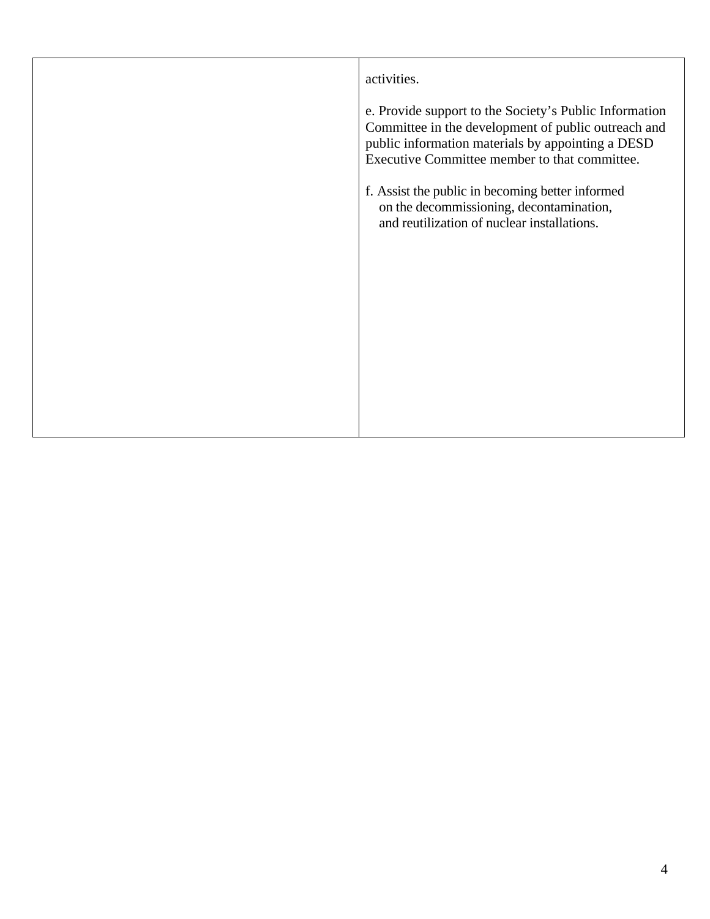| activities.                                                                                                                                                                                                         |
|---------------------------------------------------------------------------------------------------------------------------------------------------------------------------------------------------------------------|
| e. Provide support to the Society's Public Information<br>Committee in the development of public outreach and<br>public information materials by appointing a DESD<br>Executive Committee member to that committee. |
| f. Assist the public in becoming better informed<br>on the decommissioning, decontamination,<br>and reutilization of nuclear installations.                                                                         |
|                                                                                                                                                                                                                     |
|                                                                                                                                                                                                                     |
|                                                                                                                                                                                                                     |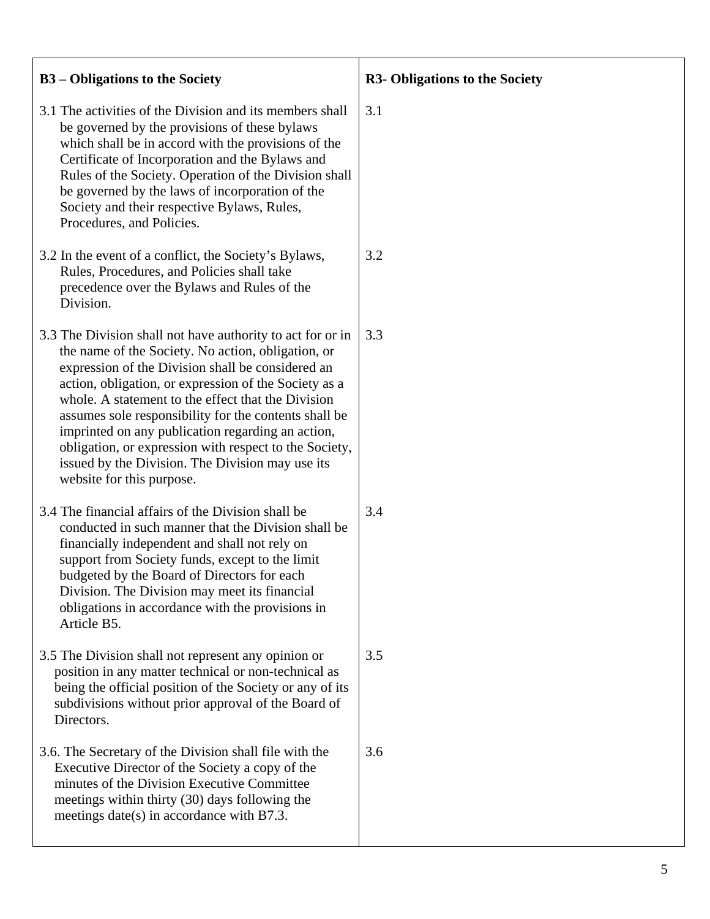| <b>B3</b> – Obligations to the Society                                                                                                                                                                                                                                                                                                                                                                                                                                                                                                        | <b>R3- Obligations to the Society</b> |
|-----------------------------------------------------------------------------------------------------------------------------------------------------------------------------------------------------------------------------------------------------------------------------------------------------------------------------------------------------------------------------------------------------------------------------------------------------------------------------------------------------------------------------------------------|---------------------------------------|
| 3.1 The activities of the Division and its members shall<br>be governed by the provisions of these bylaws<br>which shall be in accord with the provisions of the<br>Certificate of Incorporation and the Bylaws and<br>Rules of the Society. Operation of the Division shall<br>be governed by the laws of incorporation of the<br>Society and their respective Bylaws, Rules,<br>Procedures, and Policies.                                                                                                                                   | 3.1                                   |
| 3.2 In the event of a conflict, the Society's Bylaws,<br>Rules, Procedures, and Policies shall take<br>precedence over the Bylaws and Rules of the<br>Division.                                                                                                                                                                                                                                                                                                                                                                               | 3.2                                   |
| 3.3 The Division shall not have authority to act for or in<br>the name of the Society. No action, obligation, or<br>expression of the Division shall be considered an<br>action, obligation, or expression of the Society as a<br>whole. A statement to the effect that the Division<br>assumes sole responsibility for the contents shall be<br>imprinted on any publication regarding an action,<br>obligation, or expression with respect to the Society,<br>issued by the Division. The Division may use its<br>website for this purpose. | 3.3                                   |
| 3.4 The financial affairs of the Division shall be<br>conducted in such manner that the Division shall be<br>financially independent and shall not rely on<br>support from Society funds, except to the limit<br>budgeted by the Board of Directors for each<br>Division. The Division may meet its financial<br>obligations in accordance with the provisions in<br>Article B5.                                                                                                                                                              | 3.4                                   |
| 3.5 The Division shall not represent any opinion or<br>position in any matter technical or non-technical as<br>being the official position of the Society or any of its<br>subdivisions without prior approval of the Board of<br>Directors.                                                                                                                                                                                                                                                                                                  | 3.5                                   |
| 3.6. The Secretary of the Division shall file with the<br>Executive Director of the Society a copy of the<br>minutes of the Division Executive Committee<br>meetings within thirty (30) days following the<br>meetings date(s) in accordance with $B7.3$ .                                                                                                                                                                                                                                                                                    | 3.6                                   |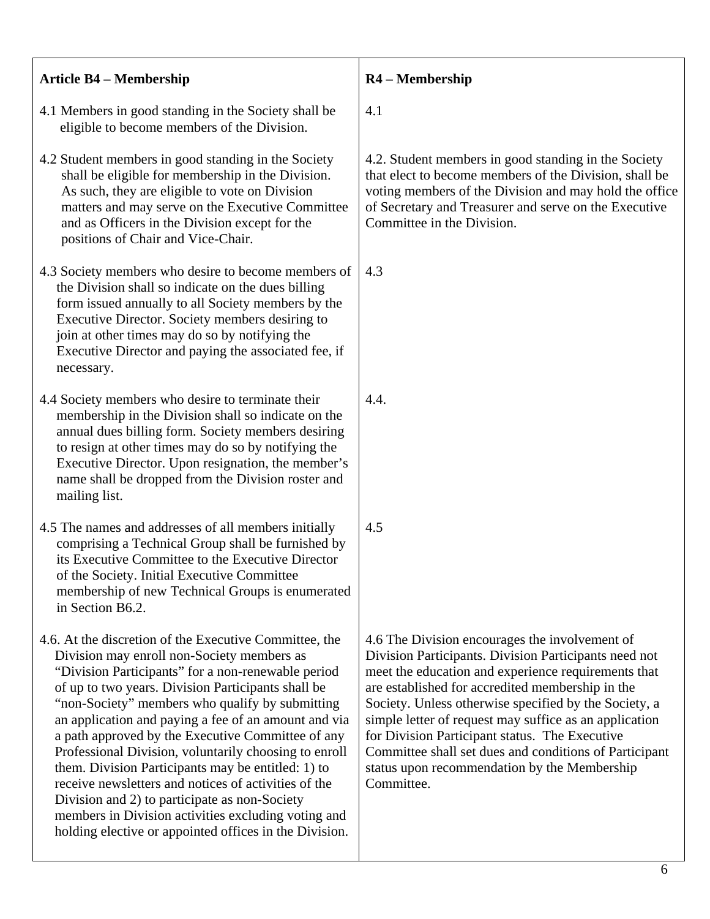| <b>Article B4 - Membership</b>                                                                                                                                                                                                                                                                                                                                                                                                                                                                                                                                                                                                                                                                                            | R4 - Membership                                                                                                                                                                                                                                                                                                                                                                                                                                                                                                 |
|---------------------------------------------------------------------------------------------------------------------------------------------------------------------------------------------------------------------------------------------------------------------------------------------------------------------------------------------------------------------------------------------------------------------------------------------------------------------------------------------------------------------------------------------------------------------------------------------------------------------------------------------------------------------------------------------------------------------------|-----------------------------------------------------------------------------------------------------------------------------------------------------------------------------------------------------------------------------------------------------------------------------------------------------------------------------------------------------------------------------------------------------------------------------------------------------------------------------------------------------------------|
| 4.1 Members in good standing in the Society shall be<br>eligible to become members of the Division.                                                                                                                                                                                                                                                                                                                                                                                                                                                                                                                                                                                                                       | 4.1                                                                                                                                                                                                                                                                                                                                                                                                                                                                                                             |
| 4.2 Student members in good standing in the Society<br>shall be eligible for membership in the Division.<br>As such, they are eligible to vote on Division<br>matters and may serve on the Executive Committee<br>and as Officers in the Division except for the<br>positions of Chair and Vice-Chair.                                                                                                                                                                                                                                                                                                                                                                                                                    | 4.2. Student members in good standing in the Society<br>that elect to become members of the Division, shall be<br>voting members of the Division and may hold the office<br>of Secretary and Treasurer and serve on the Executive<br>Committee in the Division.                                                                                                                                                                                                                                                 |
| 4.3 Society members who desire to become members of<br>the Division shall so indicate on the dues billing<br>form issued annually to all Society members by the<br>Executive Director. Society members desiring to<br>join at other times may do so by notifying the<br>Executive Director and paying the associated fee, if<br>necessary.                                                                                                                                                                                                                                                                                                                                                                                | 4.3                                                                                                                                                                                                                                                                                                                                                                                                                                                                                                             |
| 4.4 Society members who desire to terminate their<br>membership in the Division shall so indicate on the<br>annual dues billing form. Society members desiring<br>to resign at other times may do so by notifying the<br>Executive Director. Upon resignation, the member's<br>name shall be dropped from the Division roster and<br>mailing list.                                                                                                                                                                                                                                                                                                                                                                        | 4.4.                                                                                                                                                                                                                                                                                                                                                                                                                                                                                                            |
| 4.5 The names and addresses of all members initially<br>comprising a Technical Group shall be furnished by<br>its Executive Committee to the Executive Director<br>of the Society. Initial Executive Committee<br>membership of new Technical Groups is enumerated<br>in Section B6.2.                                                                                                                                                                                                                                                                                                                                                                                                                                    | 4.5                                                                                                                                                                                                                                                                                                                                                                                                                                                                                                             |
| 4.6. At the discretion of the Executive Committee, the<br>Division may enroll non-Society members as<br>"Division Participants" for a non-renewable period<br>of up to two years. Division Participants shall be<br>"non-Society" members who qualify by submitting<br>an application and paying a fee of an amount and via<br>a path approved by the Executive Committee of any<br>Professional Division, voluntarily choosing to enroll<br>them. Division Participants may be entitled: 1) to<br>receive newsletters and notices of activities of the<br>Division and 2) to participate as non-Society<br>members in Division activities excluding voting and<br>holding elective or appointed offices in the Division. | 4.6 The Division encourages the involvement of<br>Division Participants. Division Participants need not<br>meet the education and experience requirements that<br>are established for accredited membership in the<br>Society. Unless otherwise specified by the Society, a<br>simple letter of request may suffice as an application<br>for Division Participant status. The Executive<br>Committee shall set dues and conditions of Participant<br>status upon recommendation by the Membership<br>Committee. |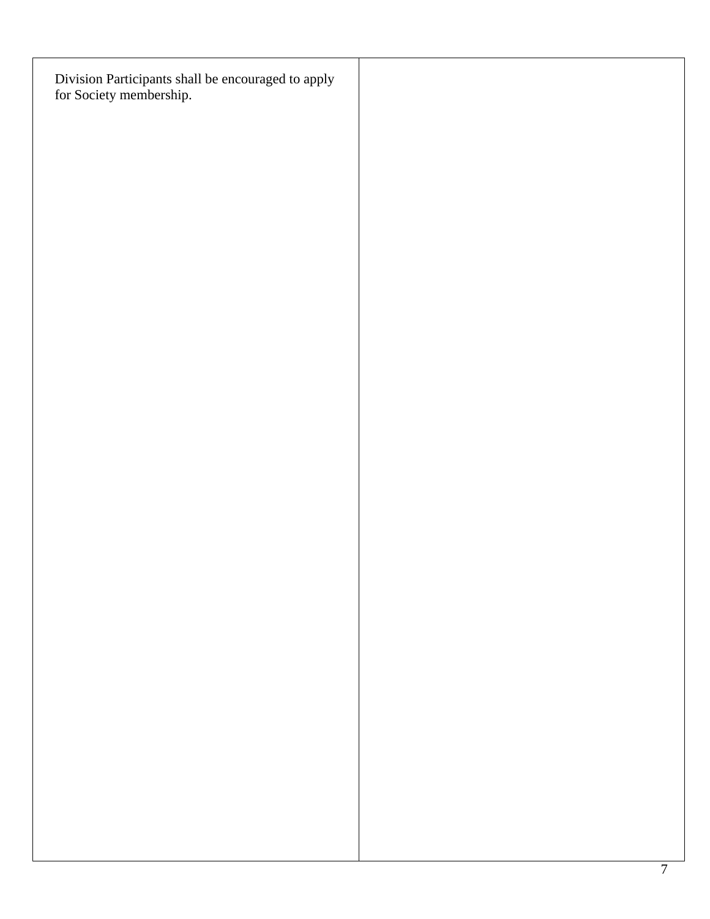| Division Participants shall be encouraged to apply<br>for Society membership. |  |  |
|-------------------------------------------------------------------------------|--|--|
|                                                                               |  |  |
|                                                                               |  |  |
|                                                                               |  |  |
|                                                                               |  |  |
|                                                                               |  |  |
|                                                                               |  |  |
|                                                                               |  |  |
|                                                                               |  |  |
|                                                                               |  |  |
|                                                                               |  |  |
|                                                                               |  |  |
|                                                                               |  |  |
|                                                                               |  |  |
|                                                                               |  |  |
|                                                                               |  |  |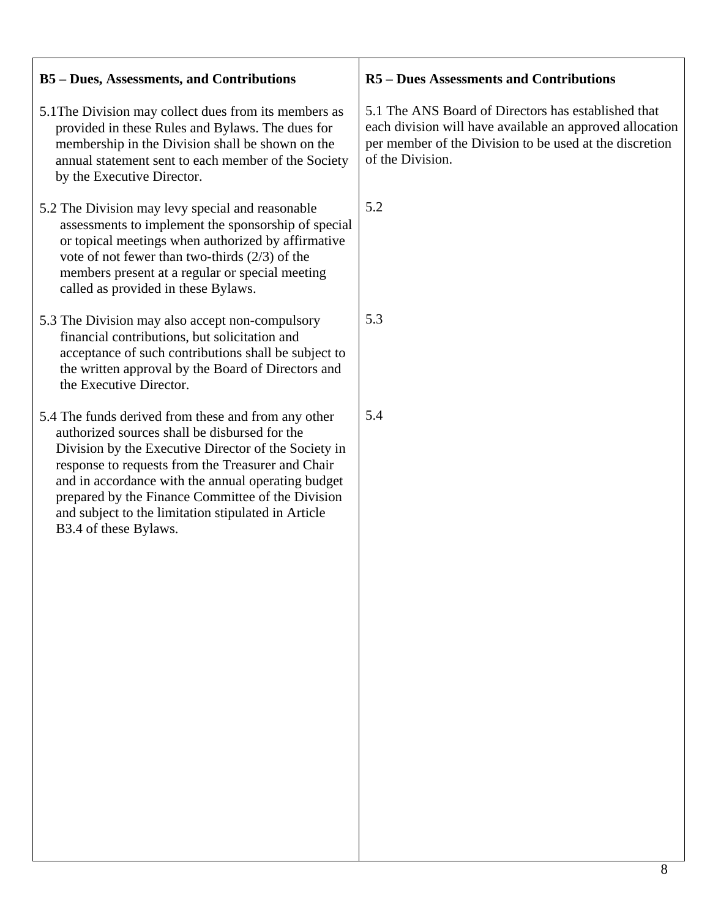| <b>B5-Dues, Assessments, and Contributions</b>                                                                                                                                                                                                                                                                                                                                                               | <b>R5</b> – Dues Assessments and Contributions                                                                                                                                                 |
|--------------------------------------------------------------------------------------------------------------------------------------------------------------------------------------------------------------------------------------------------------------------------------------------------------------------------------------------------------------------------------------------------------------|------------------------------------------------------------------------------------------------------------------------------------------------------------------------------------------------|
| 5.1 The Division may collect dues from its members as<br>provided in these Rules and Bylaws. The dues for<br>membership in the Division shall be shown on the<br>annual statement sent to each member of the Society<br>by the Executive Director.                                                                                                                                                           | 5.1 The ANS Board of Directors has established that<br>each division will have available an approved allocation<br>per member of the Division to be used at the discretion<br>of the Division. |
| 5.2 The Division may levy special and reasonable<br>assessments to implement the sponsorship of special<br>or topical meetings when authorized by affirmative<br>vote of not fewer than two-thirds $(2/3)$ of the<br>members present at a regular or special meeting<br>called as provided in these Bylaws.                                                                                                  | 5.2                                                                                                                                                                                            |
| 5.3 The Division may also accept non-compulsory<br>financial contributions, but solicitation and<br>acceptance of such contributions shall be subject to<br>the written approval by the Board of Directors and<br>the Executive Director.                                                                                                                                                                    | 5.3                                                                                                                                                                                            |
| 5.4 The funds derived from these and from any other<br>authorized sources shall be disbursed for the<br>Division by the Executive Director of the Society in<br>response to requests from the Treasurer and Chair<br>and in accordance with the annual operating budget<br>prepared by the Finance Committee of the Division<br>and subject to the limitation stipulated in Article<br>B3.4 of these Bylaws. | 5.4                                                                                                                                                                                            |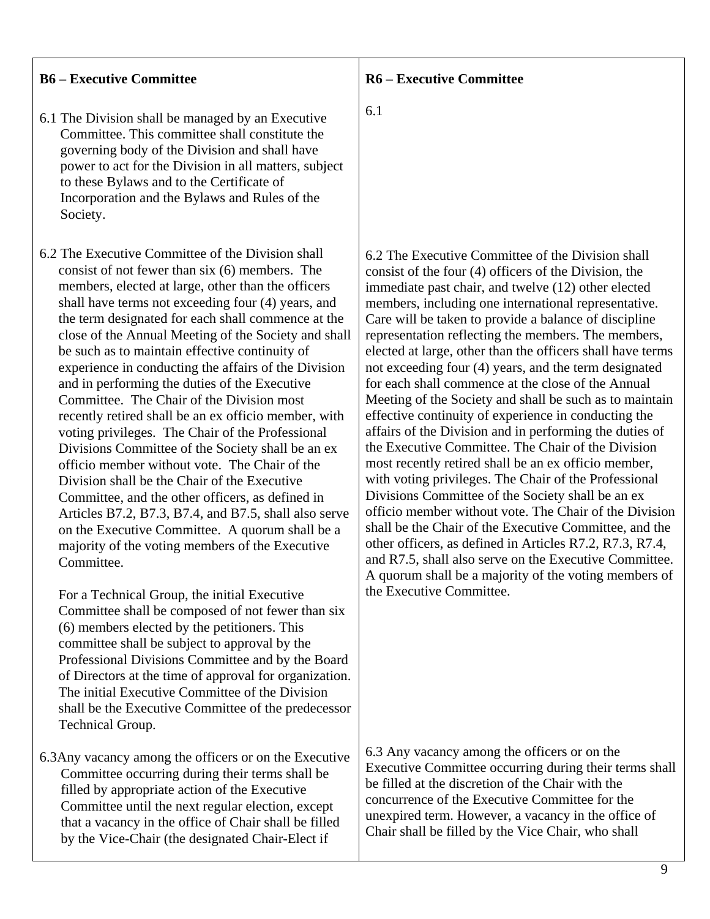#### **B6 – Executive Committee**

- 6.1 The Division shall be managed by an Executive Committee. This committee shall constitute the governing body of the Division and shall have power to act for the Division in all matters, subject to these Bylaws and to the Certificate of Incorporation and the Bylaws and Rules of the Society.
- 6.2 The Executive Committee of the Division shall consist of not fewer than six (6) members. The members, elected at large, other than the officers shall have terms not exceeding four (4) years, and the term designated for each shall commence at the close of the Annual Meeting of the Society and shall be such as to maintain effective continuity of experience in conducting the affairs of the Division and in performing the duties of the Executive Committee. The Chair of the Division most recently retired shall be an ex officio member, with voting privileges. The Chair of the Professional Divisions Committee of the Society shall be an ex officio member without vote. The Chair of the Division shall be the Chair of the Executive Committee, and the other officers, as defined in Articles B7.2, B7.3, B7.4, and B7.5, shall also serve on the Executive Committee. A quorum shall be a majority of the voting members of the Executive Committee.

 For a Technical Group, the initial Executive Committee shall be composed of not fewer than six (6) members elected by the petitioners. This committee shall be subject to approval by the Professional Divisions Committee and by the Board of Directors at the time of approval for organization. The initial Executive Committee of the Division shall be the Executive Committee of the predecessor Technical Group.

6.3Any vacancy among the officers or on the Executive Committee occurring during their terms shall be filled by appropriate action of the Executive Committee until the next regular election, except that a vacancy in the office of Chair shall be filled by the Vice-Chair (the designated Chair-Elect if

**R6 – Executive Committee** 

6.1

6.2 The Executive Committee of the Division shall consist of the four (4) officers of the Division, the immediate past chair, and twelve (12) other elected members, including one international representative. Care will be taken to provide a balance of discipline representation reflecting the members. The members, elected at large, other than the officers shall have terms not exceeding four (4) years, and the term designated for each shall commence at the close of the Annual Meeting of the Society and shall be such as to maintain effective continuity of experience in conducting the affairs of the Division and in performing the duties of the Executive Committee. The Chair of the Division most recently retired shall be an ex officio member, with voting privileges. The Chair of the Professional Divisions Committee of the Society shall be an ex officio member without vote. The Chair of the Division shall be the Chair of the Executive Committee, and the other officers, as defined in Articles R7.2, R7.3, R7.4, and R7.5, shall also serve on the Executive Committee. A quorum shall be a majority of the voting members of the Executive Committee.

6.3 Any vacancy among the officers or on the Executive Committee occurring during their terms shall be filled at the discretion of the Chair with the concurrence of the Executive Committee for the unexpired term. However, a vacancy in the office of Chair shall be filled by the Vice Chair, who shall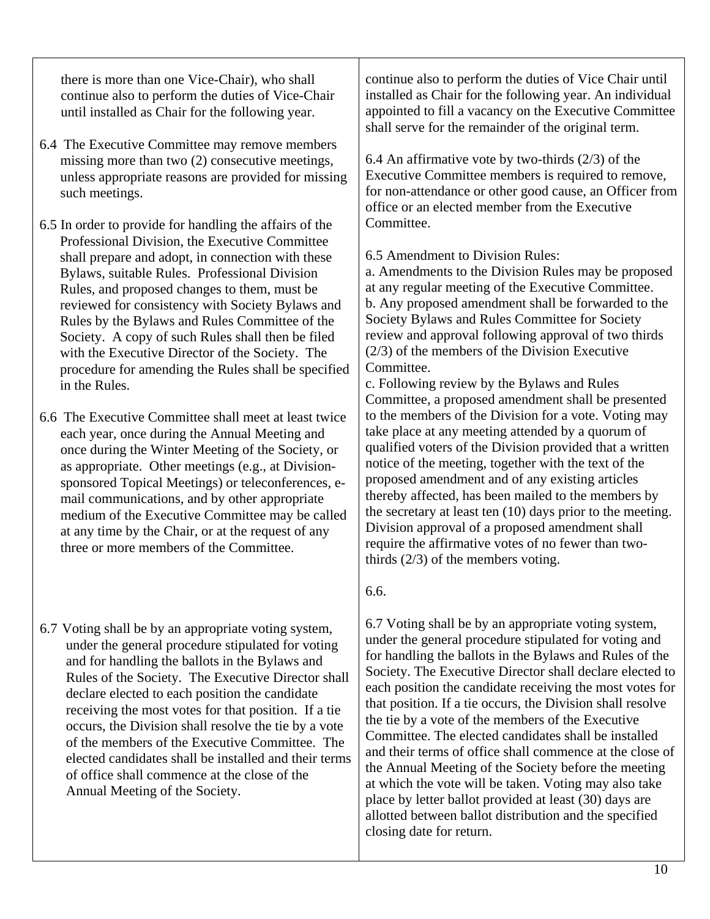there is more than one Vice-Chair), who shall continue also to perform the duties of Vice-Chair until installed as Chair for the following year.

- 6.4 The Executive Committee may remove members missing more than two (2) consecutive meetings, unless appropriate reasons are provided for missing such meetings.
- 6.5 In order to provide for handling the affairs of the Professional Division, the Executive Committee shall prepare and adopt, in connection with these Bylaws, suitable Rules. Professional Division Rules, and proposed changes to them, must be reviewed for consistency with Society Bylaws and Rules by the Bylaws and Rules Committee of the Society. A copy of such Rules shall then be filed with the Executive Director of the Society. The procedure for amending the Rules shall be specified in the Rules.
- 6.6 The Executive Committee shall meet at least twice each year, once during the Annual Meeting and once during the Winter Meeting of the Society, or as appropriate. Other meetings (e.g., at Divisionsponsored Topical Meetings) or teleconferences, email communications, and by other appropriate medium of the Executive Committee may be called at any time by the Chair, or at the request of any three or more members of the Committee.
- 6.7 Voting shall be by an appropriate voting system, under the general procedure stipulated for voting and for handling the ballots in the Bylaws and Rules of the Society. The Executive Director shall declare elected to each position the candidate receiving the most votes for that position. If a tie occurs, the Division shall resolve the tie by a vote of the members of the Executive Committee. The elected candidates shall be installed and their terms of office shall commence at the close of the Annual Meeting of the Society.

continue also to perform the duties of Vice Chair until installed as Chair for the following year. An individual appointed to fill a vacancy on the Executive Committee shall serve for the remainder of the original term.

6.4 An affirmative vote by two-thirds  $(2/3)$  of the Executive Committee members is required to remove, for non-attendance or other good cause, an Officer from office or an elected member from the Executive Committee.

6.5 Amendment to Division Rules:

a. Amendments to the Division Rules may be proposed at any regular meeting of the Executive Committee. b. Any proposed amendment shall be forwarded to the Society Bylaws and Rules Committee for Society review and approval following approval of two thirds (2/3) of the members of the Division Executive Committee.

c. Following review by the Bylaws and Rules Committee, a proposed amendment shall be presented to the members of the Division for a vote. Voting may take place at any meeting attended by a quorum of qualified voters of the Division provided that a written notice of the meeting, together with the text of the proposed amendment and of any existing articles thereby affected, has been mailed to the members by the secretary at least ten (10) days prior to the meeting. Division approval of a proposed amendment shall require the affirmative votes of no fewer than twothirds (2/3) of the members voting.

# 6.6.

6.7 Voting shall be by an appropriate voting system, under the general procedure stipulated for voting and for handling the ballots in the Bylaws and Rules of the Society. The Executive Director shall declare elected to each position the candidate receiving the most votes for that position. If a tie occurs, the Division shall resolve the tie by a vote of the members of the Executive Committee. The elected candidates shall be installed and their terms of office shall commence at the close of the Annual Meeting of the Society before the meeting at which the vote will be taken. Voting may also take place by letter ballot provided at least (30) days are allotted between ballot distribution and the specified closing date for return.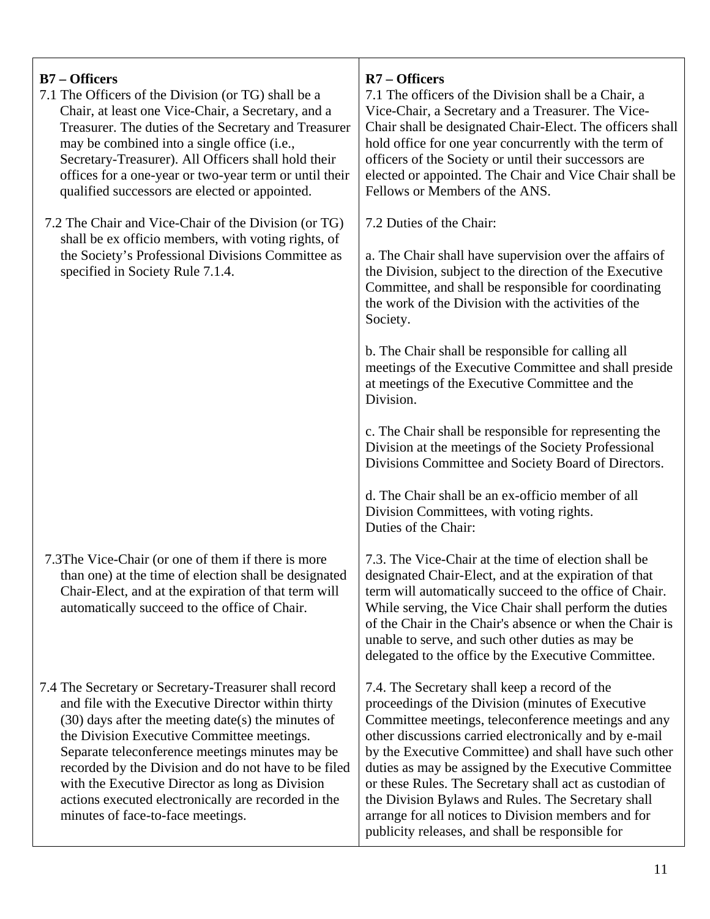| $B7 - Officers$<br>7.1 The Officers of the Division (or TG) shall be a<br>Chair, at least one Vice-Chair, a Secretary, and a<br>Treasurer. The duties of the Secretary and Treasurer<br>may be combined into a single office (i.e.,<br>Secretary-Treasurer). All Officers shall hold their<br>offices for a one-year or two-year term or until their<br>qualified successors are elected or appointed.                                                                      | $R7 -$ Officers<br>7.1 The officers of the Division shall be a Chair, a<br>Vice-Chair, a Secretary and a Treasurer. The Vice-<br>Chair shall be designated Chair-Elect. The officers shall<br>hold office for one year concurrently with the term of<br>officers of the Society or until their successors are<br>elected or appointed. The Chair and Vice Chair shall be<br>Fellows or Members of the ANS.                                                                                                                                                       |
|-----------------------------------------------------------------------------------------------------------------------------------------------------------------------------------------------------------------------------------------------------------------------------------------------------------------------------------------------------------------------------------------------------------------------------------------------------------------------------|------------------------------------------------------------------------------------------------------------------------------------------------------------------------------------------------------------------------------------------------------------------------------------------------------------------------------------------------------------------------------------------------------------------------------------------------------------------------------------------------------------------------------------------------------------------|
| 7.2 The Chair and Vice-Chair of the Division (or TG)                                                                                                                                                                                                                                                                                                                                                                                                                        | 7.2 Duties of the Chair:                                                                                                                                                                                                                                                                                                                                                                                                                                                                                                                                         |
| shall be ex officio members, with voting rights, of<br>the Society's Professional Divisions Committee as<br>specified in Society Rule 7.1.4.                                                                                                                                                                                                                                                                                                                                | a. The Chair shall have supervision over the affairs of<br>the Division, subject to the direction of the Executive<br>Committee, and shall be responsible for coordinating<br>the work of the Division with the activities of the<br>Society.                                                                                                                                                                                                                                                                                                                    |
|                                                                                                                                                                                                                                                                                                                                                                                                                                                                             | b. The Chair shall be responsible for calling all<br>meetings of the Executive Committee and shall preside<br>at meetings of the Executive Committee and the<br>Division.                                                                                                                                                                                                                                                                                                                                                                                        |
|                                                                                                                                                                                                                                                                                                                                                                                                                                                                             | c. The Chair shall be responsible for representing the<br>Division at the meetings of the Society Professional<br>Divisions Committee and Society Board of Directors.                                                                                                                                                                                                                                                                                                                                                                                            |
|                                                                                                                                                                                                                                                                                                                                                                                                                                                                             | d. The Chair shall be an ex-officio member of all<br>Division Committees, with voting rights.<br>Duties of the Chair:                                                                                                                                                                                                                                                                                                                                                                                                                                            |
| 7.3The Vice-Chair (or one of them if there is more<br>than one) at the time of election shall be designated<br>Chair-Elect, and at the expiration of that term will<br>automatically succeed to the office of Chair.                                                                                                                                                                                                                                                        | 7.3. The Vice-Chair at the time of election shall be<br>designated Chair-Elect, and at the expiration of that<br>term will automatically succeed to the office of Chair.<br>While serving, the Vice Chair shall perform the duties<br>of the Chair in the Chair's absence or when the Chair is<br>unable to serve, and such other duties as may be<br>delegated to the office by the Executive Committee.                                                                                                                                                        |
| 7.4 The Secretary or Secretary-Treasurer shall record<br>and file with the Executive Director within thirty<br>$(30)$ days after the meeting date(s) the minutes of<br>the Division Executive Committee meetings.<br>Separate teleconference meetings minutes may be<br>recorded by the Division and do not have to be filed<br>with the Executive Director as long as Division<br>actions executed electronically are recorded in the<br>minutes of face-to-face meetings. | 7.4. The Secretary shall keep a record of the<br>proceedings of the Division (minutes of Executive<br>Committee meetings, teleconference meetings and any<br>other discussions carried electronically and by e-mail<br>by the Executive Committee) and shall have such other<br>duties as may be assigned by the Executive Committee<br>or these Rules. The Secretary shall act as custodian of<br>the Division Bylaws and Rules. The Secretary shall<br>arrange for all notices to Division members and for<br>publicity releases, and shall be responsible for |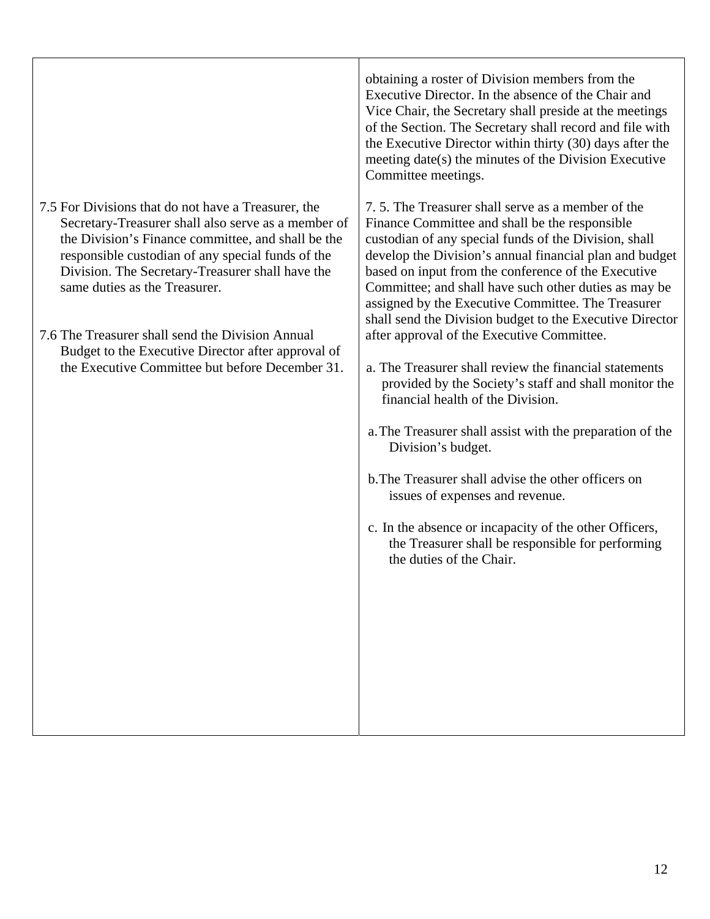|                                                                                                                                                                                                                                                                                                                                                                                                                                                                         | obtaining a roster of Division members from the<br>Executive Director. In the absence of the Chair and<br>Vice Chair, the Secretary shall preside at the meetings<br>of the Section. The Secretary shall record and file with<br>the Executive Director within thirty (30) days after the<br>meeting date(s) the minutes of the Division Executive<br>Committee meetings.                                                                                                                                                                                                                                                                                                                                                                                                                                                                                                                                                                                                               |
|-------------------------------------------------------------------------------------------------------------------------------------------------------------------------------------------------------------------------------------------------------------------------------------------------------------------------------------------------------------------------------------------------------------------------------------------------------------------------|-----------------------------------------------------------------------------------------------------------------------------------------------------------------------------------------------------------------------------------------------------------------------------------------------------------------------------------------------------------------------------------------------------------------------------------------------------------------------------------------------------------------------------------------------------------------------------------------------------------------------------------------------------------------------------------------------------------------------------------------------------------------------------------------------------------------------------------------------------------------------------------------------------------------------------------------------------------------------------------------|
| 7.5 For Divisions that do not have a Treasurer, the<br>Secretary-Treasurer shall also serve as a member of<br>the Division's Finance committee, and shall be the<br>responsible custodian of any special funds of the<br>Division. The Secretary-Treasurer shall have the<br>same duties as the Treasurer.<br>7.6 The Treasurer shall send the Division Annual<br>Budget to the Executive Director after approval of<br>the Executive Committee but before December 31. | 7.5. The Treasurer shall serve as a member of the<br>Finance Committee and shall be the responsible<br>custodian of any special funds of the Division, shall<br>develop the Division's annual financial plan and budget<br>based on input from the conference of the Executive<br>Committee; and shall have such other duties as may be<br>assigned by the Executive Committee. The Treasurer<br>shall send the Division budget to the Executive Director<br>after approval of the Executive Committee.<br>a. The Treasurer shall review the financial statements<br>provided by the Society's staff and shall monitor the<br>financial health of the Division.<br>a. The Treasurer shall assist with the preparation of the<br>Division's budget.<br>b. The Treasurer shall advise the other officers on<br>issues of expenses and revenue.<br>c. In the absence or incapacity of the other Officers,<br>the Treasurer shall be responsible for performing<br>the duties of the Chair. |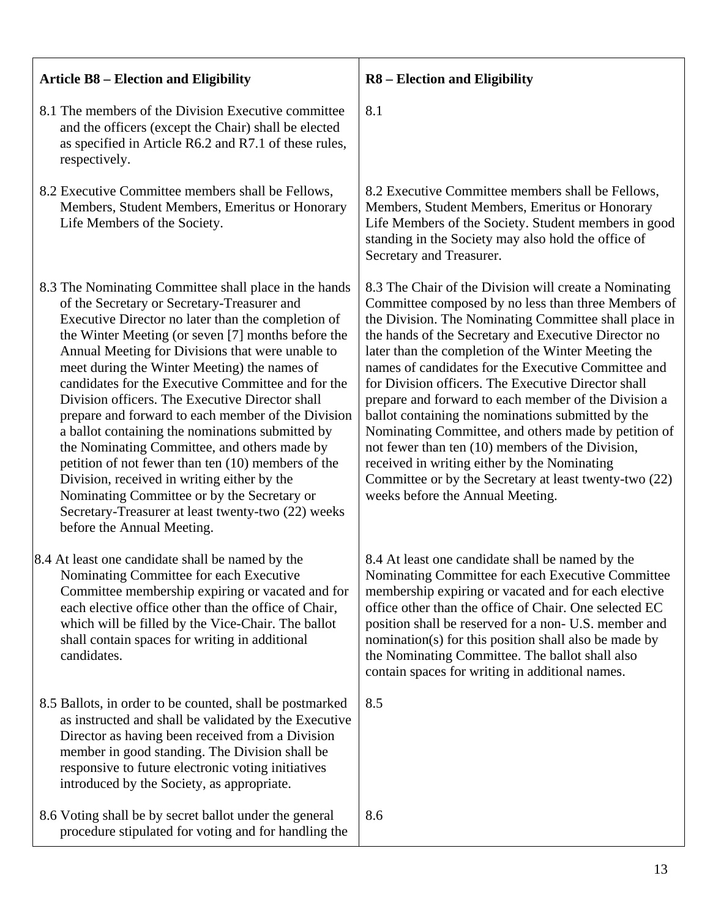| <b>Article B8 – Election and Eligibility</b>                                                                                                                                                                                                                                                                                                                                                                                                                                                                                                                                                                                                                                                                                                                                                                                    | <b>R8</b> – Election and Eligibility                                                                                                                                                                                                                                                                                                                                                                                                                                                                                                                                                                                                                                                                                                                                        |
|---------------------------------------------------------------------------------------------------------------------------------------------------------------------------------------------------------------------------------------------------------------------------------------------------------------------------------------------------------------------------------------------------------------------------------------------------------------------------------------------------------------------------------------------------------------------------------------------------------------------------------------------------------------------------------------------------------------------------------------------------------------------------------------------------------------------------------|-----------------------------------------------------------------------------------------------------------------------------------------------------------------------------------------------------------------------------------------------------------------------------------------------------------------------------------------------------------------------------------------------------------------------------------------------------------------------------------------------------------------------------------------------------------------------------------------------------------------------------------------------------------------------------------------------------------------------------------------------------------------------------|
| 8.1 The members of the Division Executive committee<br>and the officers (except the Chair) shall be elected<br>as specified in Article R6.2 and R7.1 of these rules,<br>respectively.                                                                                                                                                                                                                                                                                                                                                                                                                                                                                                                                                                                                                                           | 8.1                                                                                                                                                                                                                                                                                                                                                                                                                                                                                                                                                                                                                                                                                                                                                                         |
| 8.2 Executive Committee members shall be Fellows,<br>Members, Student Members, Emeritus or Honorary<br>Life Members of the Society.                                                                                                                                                                                                                                                                                                                                                                                                                                                                                                                                                                                                                                                                                             | 8.2 Executive Committee members shall be Fellows,<br>Members, Student Members, Emeritus or Honorary<br>Life Members of the Society. Student members in good<br>standing in the Society may also hold the office of<br>Secretary and Treasurer.                                                                                                                                                                                                                                                                                                                                                                                                                                                                                                                              |
| 8.3 The Nominating Committee shall place in the hands<br>of the Secretary or Secretary-Treasurer and<br>Executive Director no later than the completion of<br>the Winter Meeting (or seven [7] months before the<br>Annual Meeting for Divisions that were unable to<br>meet during the Winter Meeting) the names of<br>candidates for the Executive Committee and for the<br>Division officers. The Executive Director shall<br>prepare and forward to each member of the Division<br>a ballot containing the nominations submitted by<br>the Nominating Committee, and others made by<br>petition of not fewer than ten (10) members of the<br>Division, received in writing either by the<br>Nominating Committee or by the Secretary or<br>Secretary-Treasurer at least twenty-two (22) weeks<br>before the Annual Meeting. | 8.3 The Chair of the Division will create a Nominating<br>Committee composed by no less than three Members of<br>the Division. The Nominating Committee shall place in<br>the hands of the Secretary and Executive Director no<br>later than the completion of the Winter Meeting the<br>names of candidates for the Executive Committee and<br>for Division officers. The Executive Director shall<br>prepare and forward to each member of the Division a<br>ballot containing the nominations submitted by the<br>Nominating Committee, and others made by petition of<br>not fewer than ten (10) members of the Division,<br>received in writing either by the Nominating<br>Committee or by the Secretary at least twenty-two (22)<br>weeks before the Annual Meeting. |
| 8.4 At least one candidate shall be named by the<br>Nominating Committee for each Executive<br>Committee membership expiring or vacated and for<br>each elective office other than the office of Chair,<br>which will be filled by the Vice-Chair. The ballot<br>shall contain spaces for writing in additional<br>candidates.                                                                                                                                                                                                                                                                                                                                                                                                                                                                                                  | 8.4 At least one candidate shall be named by the<br>Nominating Committee for each Executive Committee<br>membership expiring or vacated and for each elective<br>office other than the office of Chair. One selected EC<br>position shall be reserved for a non- U.S. member and<br>nomination(s) for this position shall also be made by<br>the Nominating Committee. The ballot shall also<br>contain spaces for writing in additional names.                                                                                                                                                                                                                                                                                                                             |
| 8.5 Ballots, in order to be counted, shall be postmarked<br>as instructed and shall be validated by the Executive<br>Director as having been received from a Division<br>member in good standing. The Division shall be<br>responsive to future electronic voting initiatives<br>introduced by the Society, as appropriate.                                                                                                                                                                                                                                                                                                                                                                                                                                                                                                     | 8.5                                                                                                                                                                                                                                                                                                                                                                                                                                                                                                                                                                                                                                                                                                                                                                         |
| 8.6 Voting shall be by secret ballot under the general<br>procedure stipulated for voting and for handling the                                                                                                                                                                                                                                                                                                                                                                                                                                                                                                                                                                                                                                                                                                                  | 8.6                                                                                                                                                                                                                                                                                                                                                                                                                                                                                                                                                                                                                                                                                                                                                                         |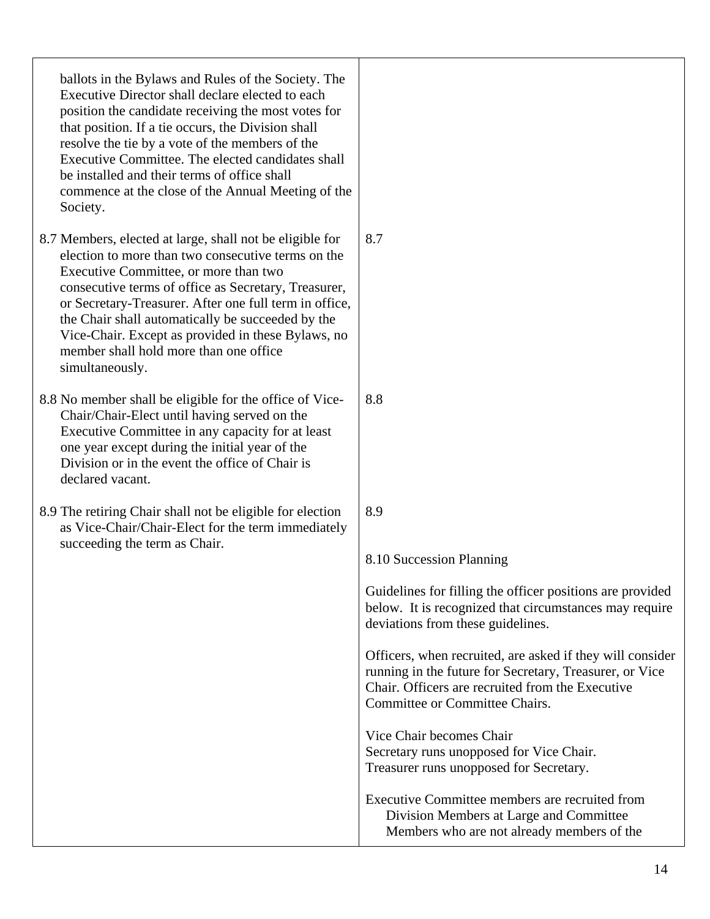| ballots in the Bylaws and Rules of the Society. The<br>Executive Director shall declare elected to each<br>position the candidate receiving the most votes for<br>that position. If a tie occurs, the Division shall<br>resolve the tie by a vote of the members of the<br>Executive Committee. The elected candidates shall<br>be installed and their terms of office shall<br>commence at the close of the Annual Meeting of the<br>Society.    |                                                                                                                                                                                                            |
|---------------------------------------------------------------------------------------------------------------------------------------------------------------------------------------------------------------------------------------------------------------------------------------------------------------------------------------------------------------------------------------------------------------------------------------------------|------------------------------------------------------------------------------------------------------------------------------------------------------------------------------------------------------------|
| 8.7 Members, elected at large, shall not be eligible for<br>election to more than two consecutive terms on the<br>Executive Committee, or more than two<br>consecutive terms of office as Secretary, Treasurer,<br>or Secretary-Treasurer. After one full term in office,<br>the Chair shall automatically be succeeded by the<br>Vice-Chair. Except as provided in these Bylaws, no<br>member shall hold more than one office<br>simultaneously. | 8.7                                                                                                                                                                                                        |
| 8.8 No member shall be eligible for the office of Vice-<br>Chair/Chair-Elect until having served on the<br>Executive Committee in any capacity for at least<br>one year except during the initial year of the<br>Division or in the event the office of Chair is<br>declared vacant.                                                                                                                                                              | 8.8                                                                                                                                                                                                        |
| 8.9 The retiring Chair shall not be eligible for election<br>as Vice-Chair/Chair-Elect for the term immediately<br>succeeding the term as Chair.                                                                                                                                                                                                                                                                                                  | 8.9<br>8.10 Succession Planning                                                                                                                                                                            |
|                                                                                                                                                                                                                                                                                                                                                                                                                                                   | Guidelines for filling the officer positions are provided<br>below. It is recognized that circumstances may require<br>deviations from these guidelines.                                                   |
|                                                                                                                                                                                                                                                                                                                                                                                                                                                   | Officers, when recruited, are asked if they will consider<br>running in the future for Secretary, Treasurer, or Vice<br>Chair. Officers are recruited from the Executive<br>Committee or Committee Chairs. |
|                                                                                                                                                                                                                                                                                                                                                                                                                                                   | Vice Chair becomes Chair<br>Secretary runs unopposed for Vice Chair.<br>Treasurer runs unopposed for Secretary.                                                                                            |
|                                                                                                                                                                                                                                                                                                                                                                                                                                                   | Executive Committee members are recruited from<br>Division Members at Large and Committee<br>Members who are not already members of the                                                                    |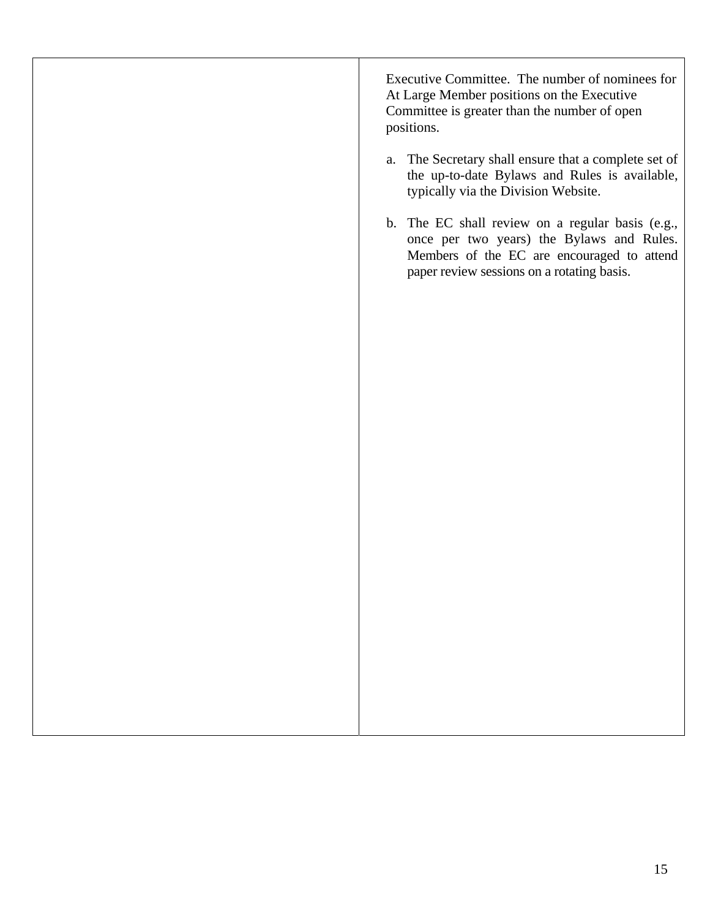Executive Committee. The number of nominees for At Large Member positions on the Executive Committee is greater than the number of open positions. a. The Secretary shall ensure that a complete set of the up-to-date Bylaws and Rules is available, typically via the Division Website. b. The EC shall review on a regular basis (e.g., once per two years) the Bylaws and Rules. Members of the EC are encouraged to attend paper review sessions on a rotating basis.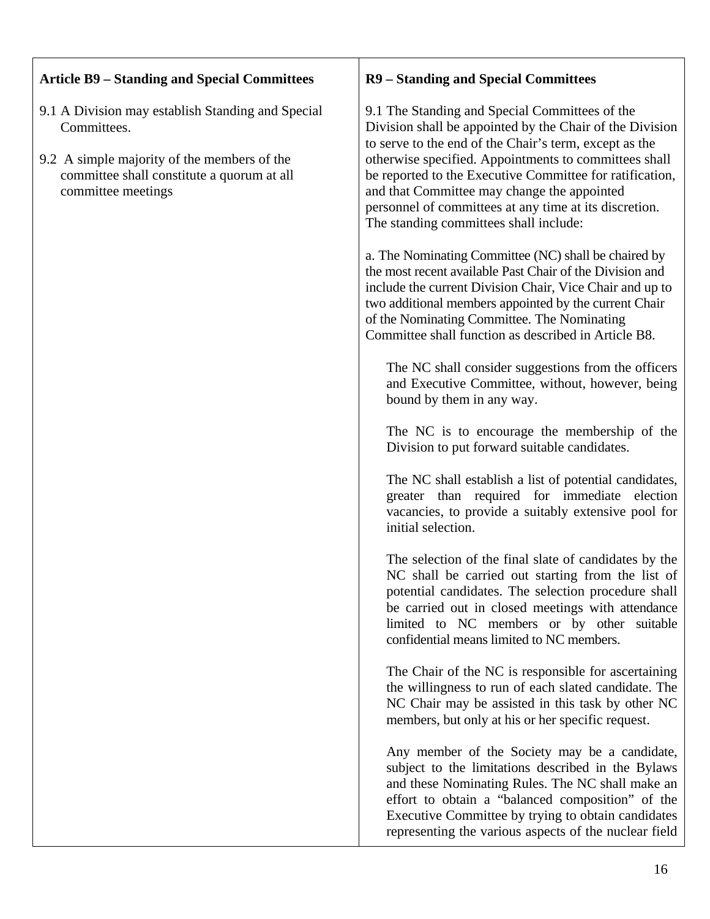| <b>Article B9 – Standing and Special Committees</b>                                                                                                                                 | <b>R9</b> – Standing and Special Committees                                                                                                                                                                                                                                                                                                                                                                                                  |  |
|-------------------------------------------------------------------------------------------------------------------------------------------------------------------------------------|----------------------------------------------------------------------------------------------------------------------------------------------------------------------------------------------------------------------------------------------------------------------------------------------------------------------------------------------------------------------------------------------------------------------------------------------|--|
| 9.1 A Division may establish Standing and Special<br>Committees.<br>9.2 A simple majority of the members of the<br>committee shall constitute a quorum at all<br>committee meetings | 9.1 The Standing and Special Committees of the<br>Division shall be appointed by the Chair of the Division<br>to serve to the end of the Chair's term, except as the<br>otherwise specified. Appointments to committees shall<br>be reported to the Executive Committee for ratification,<br>and that Committee may change the appointed<br>personnel of committees at any time at its discretion.<br>The standing committees shall include: |  |
|                                                                                                                                                                                     | a. The Nominating Committee (NC) shall be chaired by<br>the most recent available Past Chair of the Division and<br>include the current Division Chair, Vice Chair and up to<br>two additional members appointed by the current Chair<br>of the Nominating Committee. The Nominating<br>Committee shall function as described in Article B8.                                                                                                 |  |
|                                                                                                                                                                                     | The NC shall consider suggestions from the officers<br>and Executive Committee, without, however, being<br>bound by them in any way.                                                                                                                                                                                                                                                                                                         |  |
|                                                                                                                                                                                     | The NC is to encourage the membership of the<br>Division to put forward suitable candidates.                                                                                                                                                                                                                                                                                                                                                 |  |
|                                                                                                                                                                                     | The NC shall establish a list of potential candidates,<br>greater than required for immediate election<br>vacancies, to provide a suitably extensive pool for<br>initial selection.                                                                                                                                                                                                                                                          |  |
|                                                                                                                                                                                     | The selection of the final slate of candidates by the<br>NC shall be carried out starting from the list of<br>potential candidates. The selection procedure shall<br>be carried out in closed meetings with attendance<br>limited to NC members or by other suitable<br>confidential means limited to NC members.                                                                                                                            |  |
|                                                                                                                                                                                     | The Chair of the NC is responsible for ascertaining<br>the willingness to run of each slated candidate. The<br>NC Chair may be assisted in this task by other NC<br>members, but only at his or her specific request.                                                                                                                                                                                                                        |  |
|                                                                                                                                                                                     | Any member of the Society may be a candidate,<br>subject to the limitations described in the Bylaws<br>and these Nominating Rules. The NC shall make an<br>effort to obtain a "balanced composition" of the<br>Executive Committee by trying to obtain candidates<br>representing the various aspects of the nuclear field                                                                                                                   |  |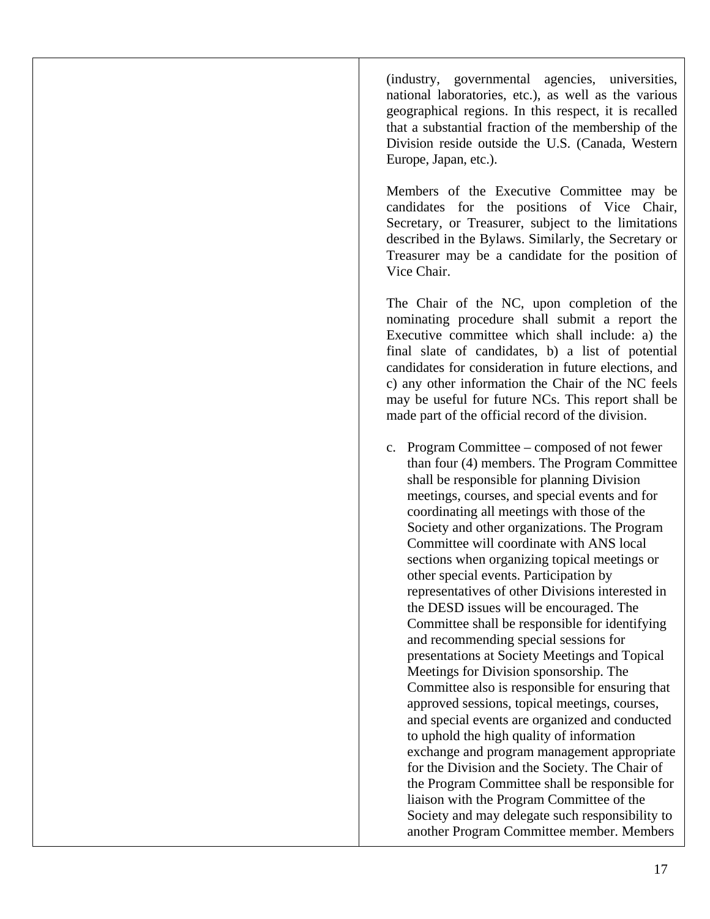(industry, governmental agencies, universities, national laboratories, etc.), as well as the various geographical regions. In this respect, it is recalled that a substantial fraction of the membership of the Division reside outside the U.S. (Canada, Western Europe, Japan, etc.).

Members of the Executive Committee may be candidates for the positions of Vice Chair, Secretary, or Treasurer, subject to the limitations described in the Bylaws. Similarly, the Secretary or Treasurer may be a candidate for the position of Vice Chair.

The Chair of the NC, upon completion of the nominating procedure shall submit a report the Executive committee which shall include: a) the final slate of candidates, b) a list of potential candidates for consideration in future elections, and c) any other information the Chair of the NC feels may be useful for future NCs. This report shall be made part of the official record of the division.

c. Program Committee – composed of not fewer than four (4) members. The Program Committee shall be responsible for planning Division meetings, courses, and special events and for coordinating all meetings with those of the Society and other organizations. The Program Committee will coordinate with ANS local sections when organizing topical meetings or other special events. Participation by representatives of other Divisions interested in the DESD issues will be encouraged. The Committee shall be responsible for identifying and recommending special sessions for presentations at Society Meetings and Topical Meetings for Division sponsorship. The Committee also is responsible for ensuring that approved sessions, topical meetings, courses, and special events are organized and conducted to uphold the high quality of information exchange and program management appropriate for the Division and the Society. The Chair of the Program Committee shall be responsible for liaison with the Program Committee of the Society and may delegate such responsibility to another Program Committee member. Members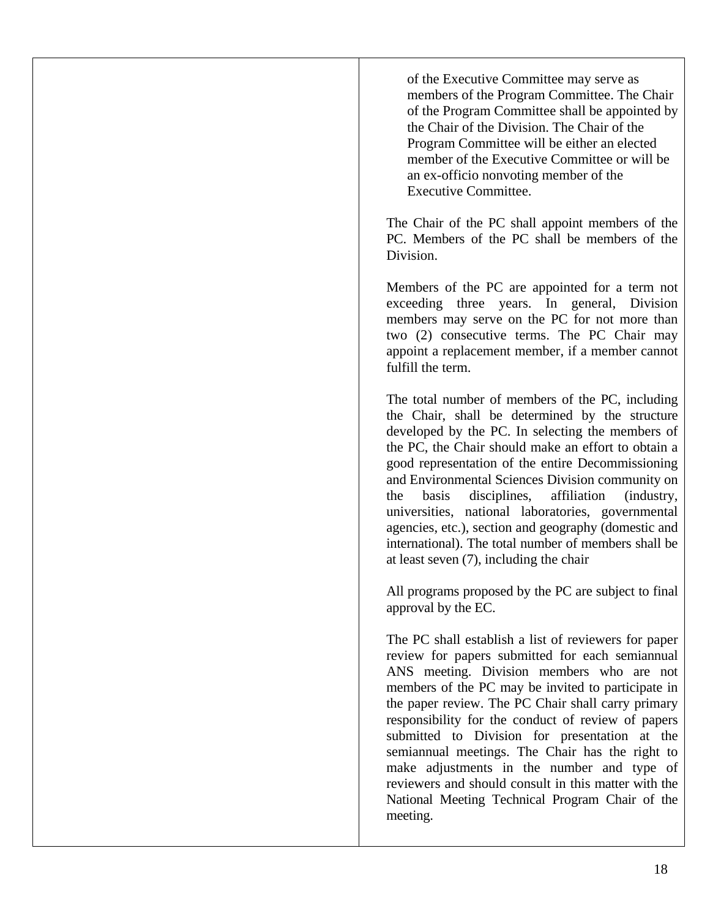of the Executive Committee may serve as members of the Program Committee. The Chair of the Program Committee shall be appointed by the Chair of the Division. The Chair of the Program Committee will be either an elected member of the Executive Committee or will be an ex-officio nonvoting member of the Executive Committee.

The Chair of the PC shall appoint members of the PC. Members of the PC shall be members of the Division.

Members of the PC are appointed for a term not exceeding three years. In general, Division members may serve on the PC for not more than two (2) consecutive terms. The PC Chair may appoint a replacement member, if a member cannot fulfill the term.

The total number of members of the PC, including the Chair, shall be determined by the structure developed by the PC. In selecting the members of the PC, the Chair should make an effort to obtain a good representation of the entire Decommissioning and Environmental Sciences Division community on the basis disciplines, affiliation (industry, universities, national laboratories, governmental agencies, etc.), section and geography (domestic and international). The total number of members shall be at least seven (7), including the chair

All programs proposed by the PC are subject to final approval by the EC.

The PC shall establish a list of reviewers for paper review for papers submitted for each semiannual ANS meeting. Division members who are not members of the PC may be invited to participate in the paper review. The PC Chair shall carry primary responsibility for the conduct of review of papers submitted to Division for presentation at the semiannual meetings. The Chair has the right to make adjustments in the number and type of reviewers and should consult in this matter with the National Meeting Technical Program Chair of the meeting.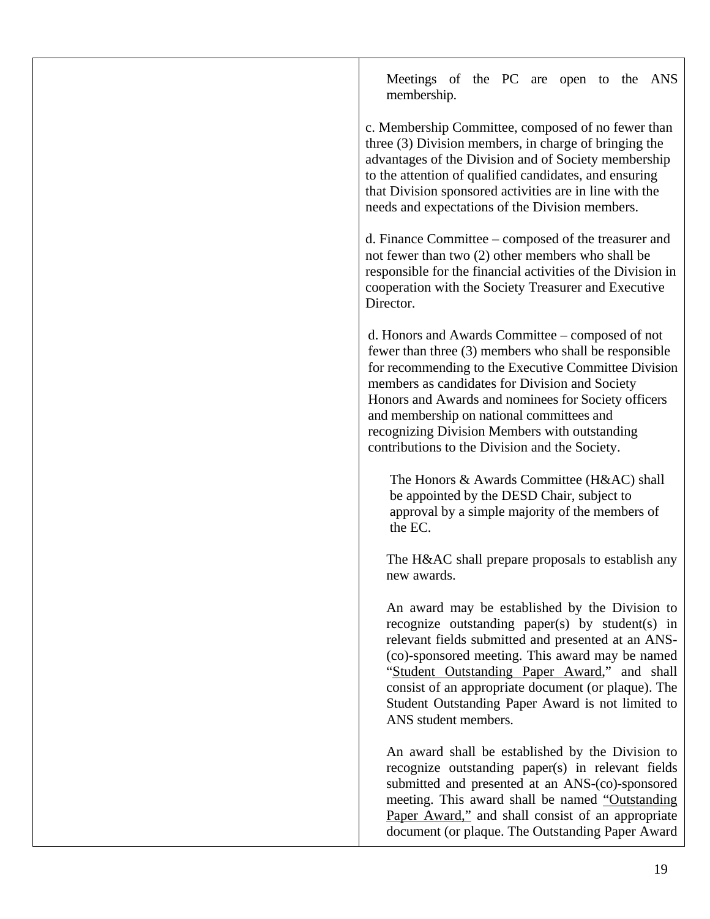Meetings of the PC are open to the ANS membership.

c. Membership Committee, composed of no fewer than three (3) Division members, in charge of bringing the advantages of the Division and of Society membership to the attention of qualified candidates, and ensuring that Division sponsored activities are in line with the needs and expectations of the Division members.

d. Finance Committee – composed of the treasurer and not fewer than two (2) other members who shall be responsible for the financial activities of the Division in cooperation with the Society Treasurer and Executive Director.

d. Honors and Awards Committee – composed of not fewer than three (3) members who shall be responsible for recommending to the Executive Committee Division members as candidates for Division and Society Honors and Awards and nominees for Society officers and membership on national committees and recognizing Division Members with outstanding contributions to the Division and the Society.

The Honors & Awards Committee (H&AC) shall be appointed by the DESD Chair, subject to approval by a simple majority of the members of the EC.

The H&AC shall prepare proposals to establish any new awards.

An award may be established by the Division to recognize outstanding paper(s) by student(s) in relevant fields submitted and presented at an ANS- (co)-sponsored meeting. This award may be named "Student Outstanding Paper Award," and shall consist of an appropriate document (or plaque). The Student Outstanding Paper Award is not limited to ANS student members.

An award shall be established by the Division to recognize outstanding paper(s) in relevant fields submitted and presented at an ANS-(co)-sponsored meeting. This award shall be named "Outstanding Paper Award," and shall consist of an appropriate document (or plaque. The Outstanding Paper Award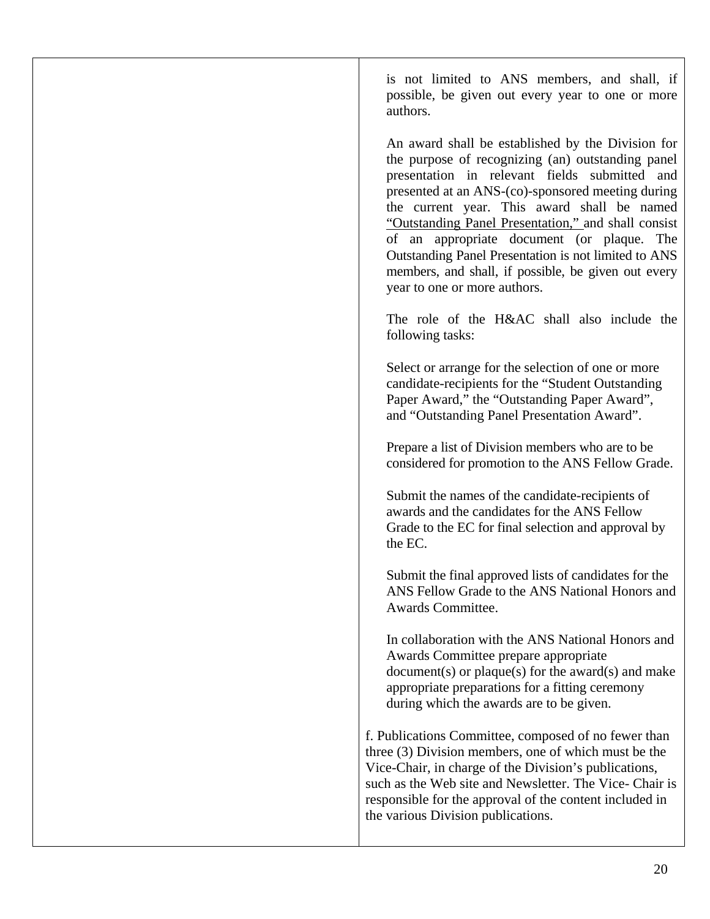is not limited to ANS members, and shall, if possible, be given out every year to one or more authors.

An award shall be established by the Division for the purpose of recognizing (an) outstanding panel presentation in relevant fields submitted and presented at an ANS-(co)-sponsored meeting during the current year. This award shall be named "Outstanding Panel Presentation," and shall consist of an appropriate document (or plaque. The Outstanding Panel Presentation is not limited to ANS members, and shall, if possible, be given out every year to one or more authors.

The role of the H&AC shall also include the following tasks:

Select or arrange for the selection of one or more candidate-recipients for the "Student Outstanding Paper Award," the "Outstanding Paper Award", and "Outstanding Panel Presentation Award".

Prepare a list of Division members who are to be considered for promotion to the ANS Fellow Grade.

Submit the names of the candidate-recipients of awards and the candidates for the ANS Fellow Grade to the EC for final selection and approval by the EC.

Submit the final approved lists of candidates for the ANS Fellow Grade to the ANS National Honors and Awards Committee.

In collaboration with the ANS National Honors and Awards Committee prepare appropriate document(s) or plaque(s) for the award(s) and make appropriate preparations for a fitting ceremony during which the awards are to be given.

f. Publications Committee, composed of no fewer than three (3) Division members, one of which must be the Vice-Chair, in charge of the Division's publications, such as the Web site and Newsletter. The Vice- Chair is responsible for the approval of the content included in the various Division publications.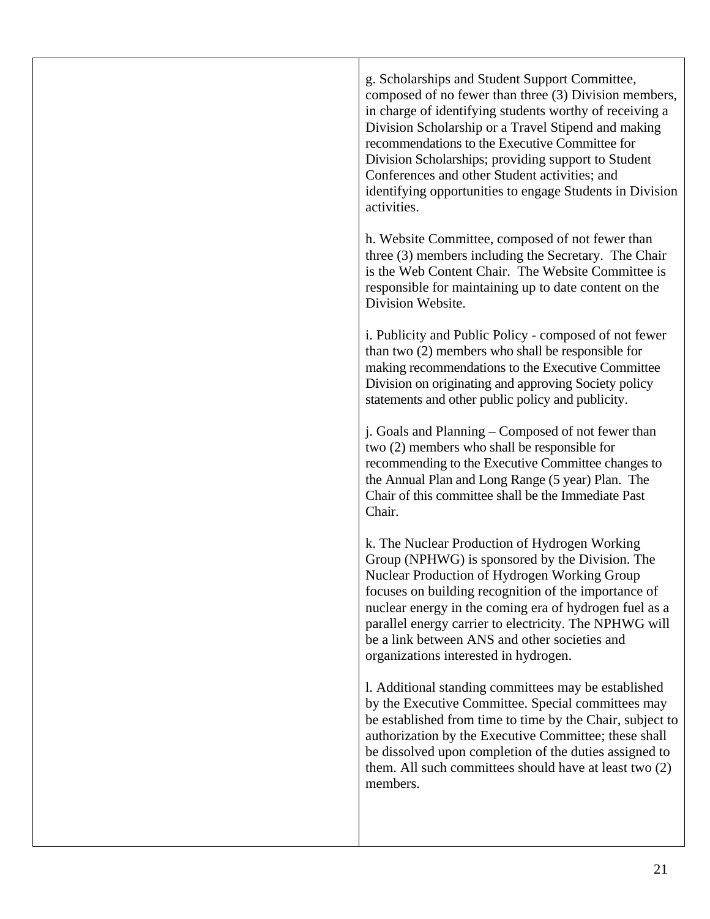g. Scholarships and Student Support Committee, composed of no fewer than three (3) Division members, in charge of identifying students worthy of receiving a Division Scholarship or a Travel Stipend and making recommendations to the Executive Committee for Division Scholarships; providing support to Student Conferences and other Student activities; and identifying opportunities to engage Students in Division activities.

h. Website Committee, composed of not fewer than three (3) members including the Secretary. The Chair is the Web Content Chair. The Website Committee is responsible for maintaining up to date content on the Division Website.

i. Publicity and Public Policy - composed of not fewer than two (2) members who shall be responsible for making recommendations to the Executive Committee Division on originating and approving Society policy statements and other public policy and publicity.

j. Goals and Planning – Composed of not fewer than two (2) members who shall be responsible for recommending to the Executive Committee changes to the Annual Plan and Long Range (5 year) Plan. The Chair of this committee shall be the Immediate Past Chair.

k. The Nuclear Production of Hydrogen Working Group (NPHWG) is sponsored by the Division. The Nuclear Production of Hydrogen Working Group focuses on building recognition of the importance of nuclear energy in the coming era of hydrogen fuel as a parallel energy carrier to electricity. The NPHWG will be a link between ANS and other societies and organizations interested in hydrogen.

l. Additional standing committees may be established by the Executive Committee. Special committees may be established from time to time by the Chair, subject to authorization by the Executive Committee; these shall be dissolved upon completion of the duties assigned to them. All such committees should have at least two (2) members.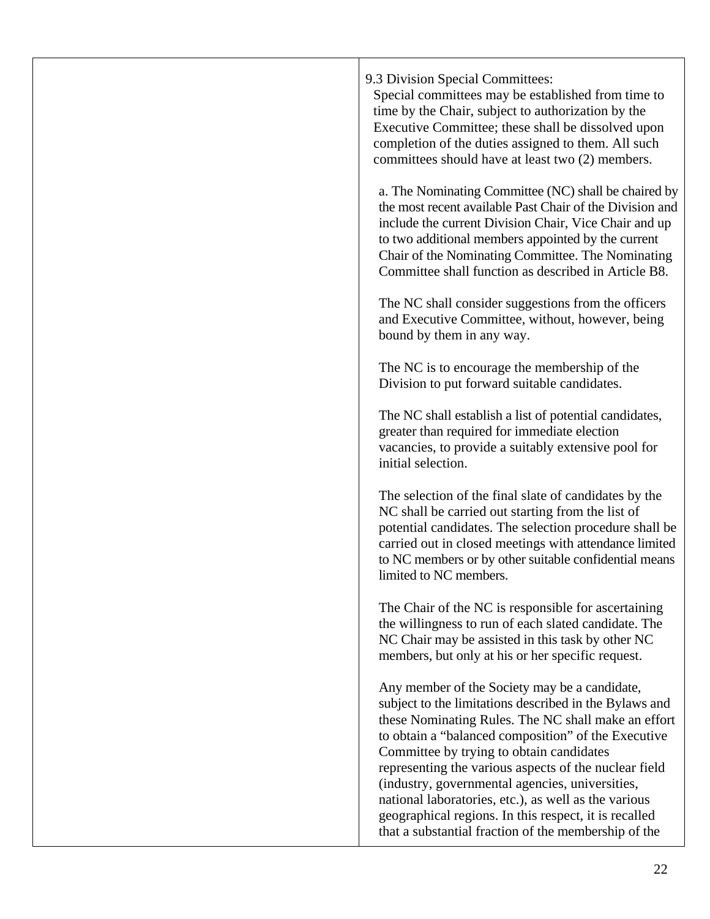| 9.3 Division Special Committees:<br>Special committees may be established from time to<br>time by the Chair, subject to authorization by the<br>Executive Committee; these shall be dissolved upon<br>completion of the duties assigned to them. All such<br>committees should have at least two (2) members.                                                                                                                                                                                                                                          |
|--------------------------------------------------------------------------------------------------------------------------------------------------------------------------------------------------------------------------------------------------------------------------------------------------------------------------------------------------------------------------------------------------------------------------------------------------------------------------------------------------------------------------------------------------------|
| a. The Nominating Committee (NC) shall be chaired by<br>the most recent available Past Chair of the Division and<br>include the current Division Chair, Vice Chair and up<br>to two additional members appointed by the current<br>Chair of the Nominating Committee. The Nominating<br>Committee shall function as described in Article B8.                                                                                                                                                                                                           |
| The NC shall consider suggestions from the officers<br>and Executive Committee, without, however, being<br>bound by them in any way.                                                                                                                                                                                                                                                                                                                                                                                                                   |
| The NC is to encourage the membership of the<br>Division to put forward suitable candidates.                                                                                                                                                                                                                                                                                                                                                                                                                                                           |
| The NC shall establish a list of potential candidates,<br>greater than required for immediate election<br>vacancies, to provide a suitably extensive pool for<br>initial selection.                                                                                                                                                                                                                                                                                                                                                                    |
| The selection of the final slate of candidates by the<br>NC shall be carried out starting from the list of<br>potential candidates. The selection procedure shall be<br>carried out in closed meetings with attendance limited<br>to NC members or by other suitable confidential means<br>limited to NC members.                                                                                                                                                                                                                                      |
| The Chair of the NC is responsible for ascertaining<br>the willingness to run of each slated candidate. The<br>NC Chair may be assisted in this task by other NC<br>members, but only at his or her specific request.                                                                                                                                                                                                                                                                                                                                  |
| Any member of the Society may be a candidate,<br>subject to the limitations described in the Bylaws and<br>these Nominating Rules. The NC shall make an effort<br>to obtain a "balanced composition" of the Executive<br>Committee by trying to obtain candidates<br>representing the various aspects of the nuclear field<br>(industry, governmental agencies, universities,<br>national laboratories, etc.), as well as the various<br>geographical regions. In this respect, it is recalled<br>that a substantial fraction of the membership of the |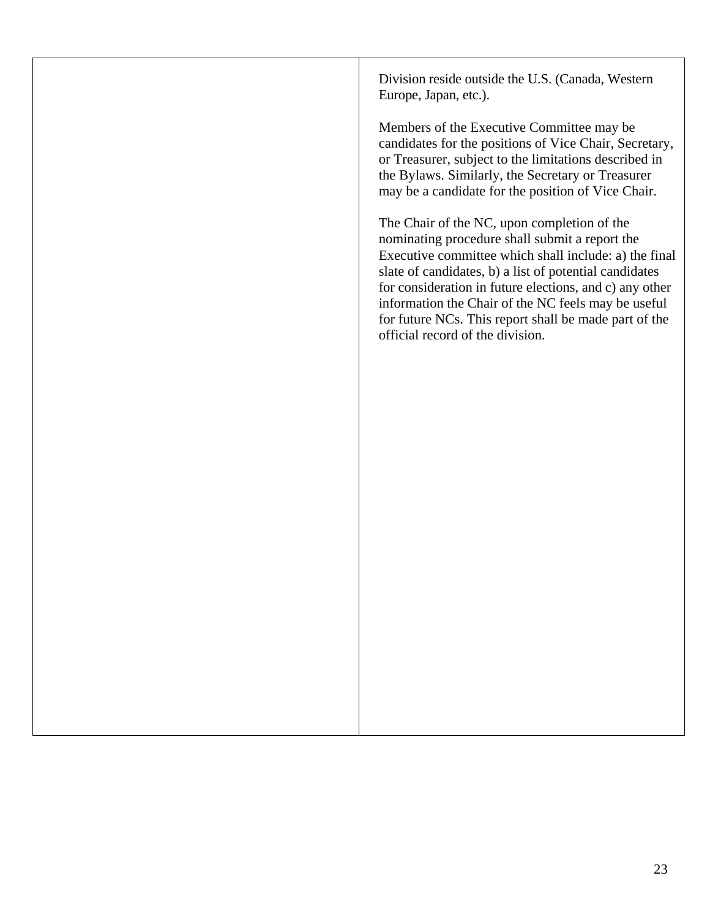Division reside outside the U.S. (Canada, Western Europe, Japan, etc.).

Members of the Executive Committee may be candidates for the positions of Vice Chair, Secretary, or Treasurer, subject to the limitations described in the Bylaws. Similarly, the Secretary or Treasurer may be a candidate for the position of Vice Chair.

The Chair of the NC, upon completion of the nominating procedure shall submit a report the Executive committee which shall include: a) the final slate of candidates, b) a list of potential candidates for consideration in future elections, and c) any other information the Chair of the NC feels may be useful for future NCs. This report shall be made part of the official record of the division.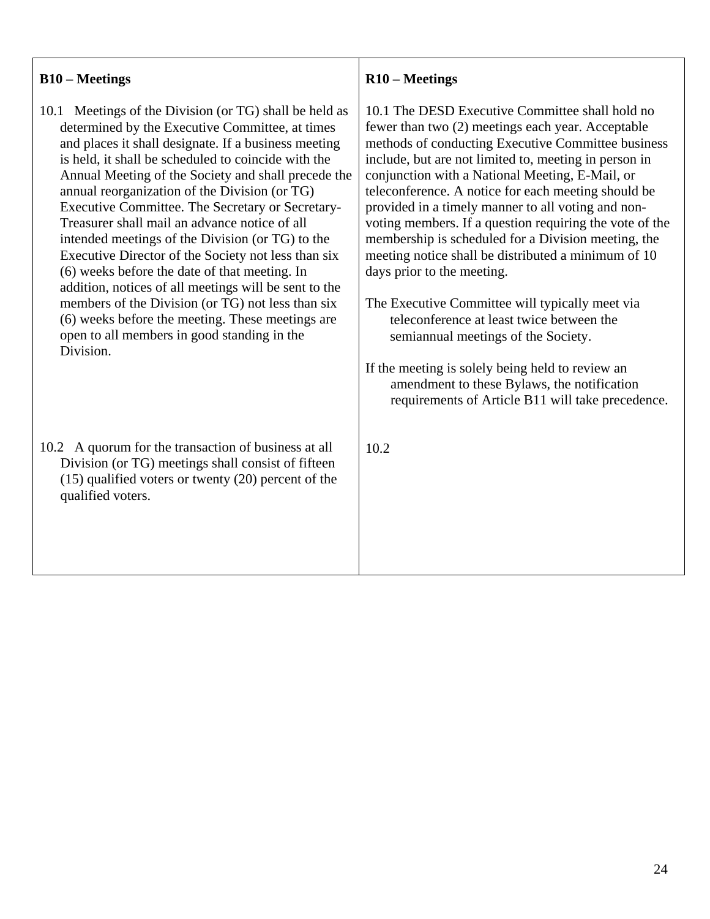## **B10 – Meetings**

- 10.1 Meetings of the Division (or TG) shall be held as determined by the Executive Committee, at times and places it shall designate. If a business meeting is held, it shall be scheduled to coincide with the Annual Meeting of the Society and shall precede the annual reorganization of the Division (or TG) Executive Committee. The Secretary or Secretary-Treasurer shall mail an advance notice of all intended meetings of the Division (or TG) to the Executive Director of the Society not less than six (6) weeks before the date of that meeting. In addition, notices of all meetings will be sent to the members of the Division (or TG) not less than six (6) weeks before the meeting. These meetings are open to all members in good standing in the Division.
- 10.2 A quorum for the transaction of business at all Division (or TG) meetings shall consist of fifteen (15) qualified voters or twenty (20) percent of the qualified voters.

## **R10 – Meetings**

10.1 The DESD Executive Committee shall hold no fewer than two (2) meetings each year. Acceptable methods of conducting Executive Committee business include, but are not limited to, meeting in person in conjunction with a National Meeting, E-Mail, or teleconference. A notice for each meeting should be provided in a timely manner to all voting and nonvoting members. If a question requiring the vote of the membership is scheduled for a Division meeting, the meeting notice shall be distributed a minimum of 10 days prior to the meeting.

The Executive Committee will typically meet via teleconference at least twice between the semiannual meetings of the Society.

If the meeting is solely being held to review an amendment to these Bylaws, the notification requirements of Article B11 will take precedence.

10.2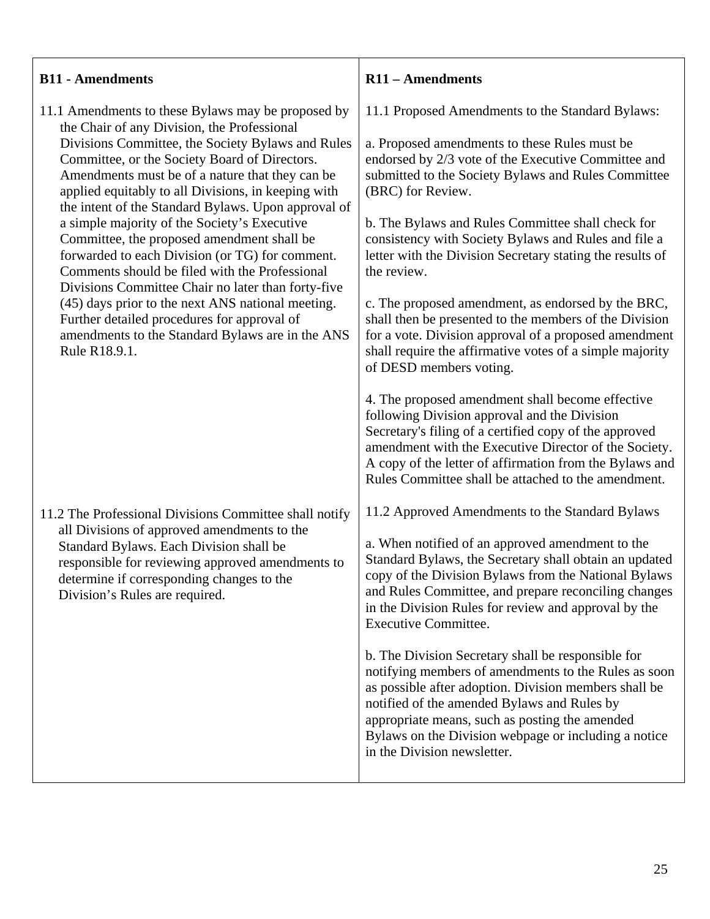#### **B11 - Amendments**  11.1 Amendments to these Bylaws may be proposed by the Chair of any Division, the Professional Divisions Committee, the Society Bylaws and Rules Committee, or the Society Board of Directors. Amendments must be of a nature that they can be applied equitably to all Divisions, in keeping with the intent of the Standard Bylaws. Upon approval of a simple majority of the Society's Executive Committee, the proposed amendment shall be forwarded to each Division (or TG) for comment. Comments should be filed with the Professional Divisions Committee Chair no later than forty-five (45) days prior to the next ANS national meeting. Further detailed procedures for approval of amendments to the Standard Bylaws are in the ANS Rule R18.9.1. 11.2 The Professional Divisions Committee shall notify all Divisions of approved amendments to the Standard Bylaws. Each Division shall be responsible for reviewing approved amendments to determine if corresponding changes to the Division's Rules are required. **R11 – Amendments**  11.1 Proposed Amendments to the Standard Bylaws: a. Proposed amendments to these Rules must be endorsed by 2/3 vote of the Executive Committee and submitted to the Society Bylaws and Rules Committee (BRC) for Review. b. The Bylaws and Rules Committee shall check for consistency with Society Bylaws and Rules and file a letter with the Division Secretary stating the results of the review. c. The proposed amendment, as endorsed by the BRC, shall then be presented to the members of the Division for a vote. Division approval of a proposed amendment shall require the affirmative votes of a simple majority of DESD members voting. 4. The proposed amendment shall become effective following Division approval and the Division Secretary's filing of a certified copy of the approved amendment with the Executive Director of the Society. A copy of the letter of affirmation from the Bylaws and Rules Committee shall be attached to the amendment. 11.2 Approved Amendments to the Standard Bylaws a. When notified of an approved amendment to the Standard Bylaws, the Secretary shall obtain an updated copy of the Division Bylaws from the National Bylaws and Rules Committee, and prepare reconciling changes in the Division Rules for review and approval by the Executive Committee. b. The Division Secretary shall be responsible for notifying members of amendments to the Rules as soon as possible after adoption. Division members shall be notified of the amended Bylaws and Rules by appropriate means, such as posting the amended Bylaws on the Division webpage or including a notice in the Division newsletter.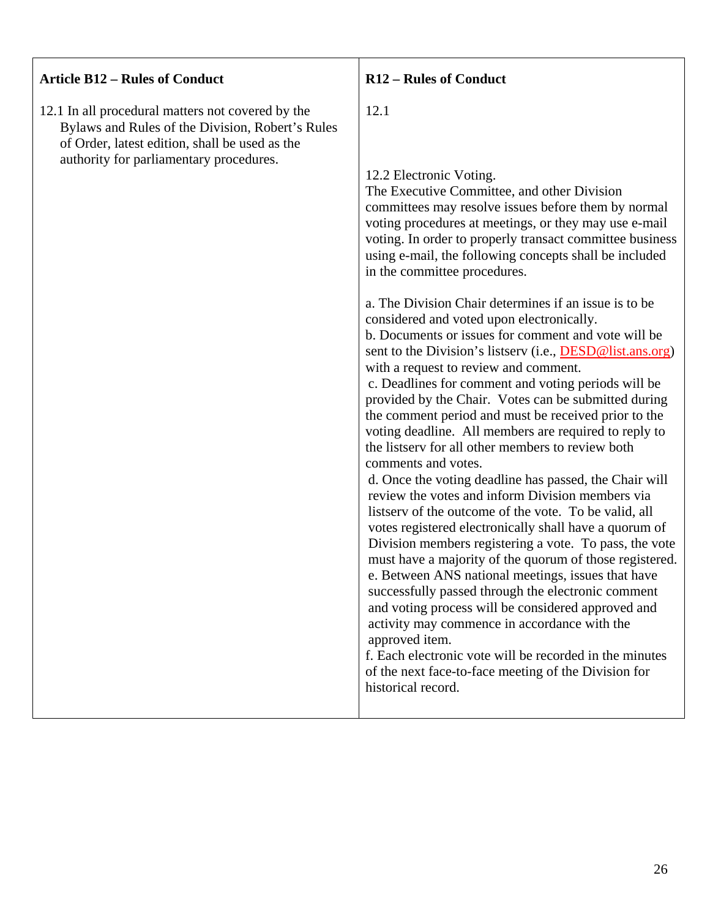| <b>Article B12 - Rules of Conduct</b>                                                                                                                                                              | <b>R12 - Rules of Conduct</b>                                                                                                                                                                                                                                                                                                                                                                                                                                                                                                                                                                                                                                                                                                                                                                                                                                                                                                                                                                                                                                                                                                                                                                                                                                                                                                                                                                                                                                                                                                                                                                                                                                                  |
|----------------------------------------------------------------------------------------------------------------------------------------------------------------------------------------------------|--------------------------------------------------------------------------------------------------------------------------------------------------------------------------------------------------------------------------------------------------------------------------------------------------------------------------------------------------------------------------------------------------------------------------------------------------------------------------------------------------------------------------------------------------------------------------------------------------------------------------------------------------------------------------------------------------------------------------------------------------------------------------------------------------------------------------------------------------------------------------------------------------------------------------------------------------------------------------------------------------------------------------------------------------------------------------------------------------------------------------------------------------------------------------------------------------------------------------------------------------------------------------------------------------------------------------------------------------------------------------------------------------------------------------------------------------------------------------------------------------------------------------------------------------------------------------------------------------------------------------------------------------------------------------------|
| 12.1 In all procedural matters not covered by the<br>Bylaws and Rules of the Division, Robert's Rules<br>of Order, latest edition, shall be used as the<br>authority for parliamentary procedures. | 12.1<br>12.2 Electronic Voting.<br>The Executive Committee, and other Division<br>committees may resolve issues before them by normal<br>voting procedures at meetings, or they may use e-mail<br>voting. In order to properly transact committee business<br>using e-mail, the following concepts shall be included<br>in the committee procedures.<br>a. The Division Chair determines if an issue is to be<br>considered and voted upon electronically.<br>b. Documents or issues for comment and vote will be<br>sent to the Division's listserv (i.e., <b>DESD@list.ans.org</b> )<br>with a request to review and comment.<br>c. Deadlines for comment and voting periods will be<br>provided by the Chair. Votes can be submitted during<br>the comment period and must be received prior to the<br>voting deadline. All members are required to reply to<br>the listserv for all other members to review both<br>comments and votes.<br>d. Once the voting deadline has passed, the Chair will<br>review the votes and inform Division members via<br>listserv of the outcome of the vote. To be valid, all<br>votes registered electronically shall have a quorum of<br>Division members registering a vote. To pass, the vote<br>must have a majority of the quorum of those registered.<br>e. Between ANS national meetings, issues that have<br>successfully passed through the electronic comment<br>and voting process will be considered approved and<br>activity may commence in accordance with the<br>approved item.<br>f. Each electronic vote will be recorded in the minutes<br>of the next face-to-face meeting of the Division for<br>historical record. |

 $\mathbf{r}$